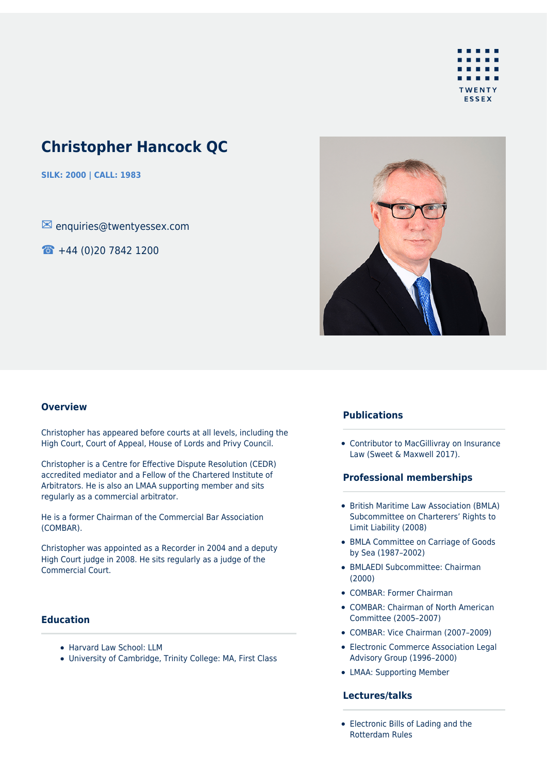

# **Christopher Hancock QC**

**SILK: 2000 | CALL: 1983**

✉ enquiries@twentyessex.com

☎ +44 (0)20 7842 1200



#### **Overview**

Christopher has appeared before courts at all levels, including the High Court, Court of Appeal, House of Lords and Privy Council.

Christopher is a Centre for Effective Dispute Resolution (CEDR) accredited mediator and a Fellow of the Chartered Institute of Arbitrators. He is also an LMAA supporting member and sits regularly as a commercial arbitrator.

He is a former Chairman of the Commercial Bar Association (COMBAR).

Christopher was appointed as a Recorder in 2004 and a deputy High Court judge in 2008. He sits regularly as a judge of the Commercial Court.

# **Education**

- Harvard Law School: LLM
- University of Cambridge, Trinity College: MA, First Class

## **Publications**

Contributor to MacGillivray on Insurance Law (Sweet & Maxwell 2017).

#### **Professional memberships**

- British Maritime Law Association (BMLA) Subcommittee on Charterers' Rights to Limit Liability (2008)
- BMLA Committee on Carriage of Goods by Sea (1987–2002)
- BMLAEDI Subcommittee: Chairman (2000)
- COMBAR: Former Chairman
- COMBAR: Chairman of North American Committee (2005–2007)
- COMBAR: Vice Chairman (2007–2009)
- Electronic Commerce Association Legal Advisory Group (1996–2000)
- LMAA: Supporting Member

## **Lectures/talks**

• Electronic Bills of Lading and the Rotterdam Rules